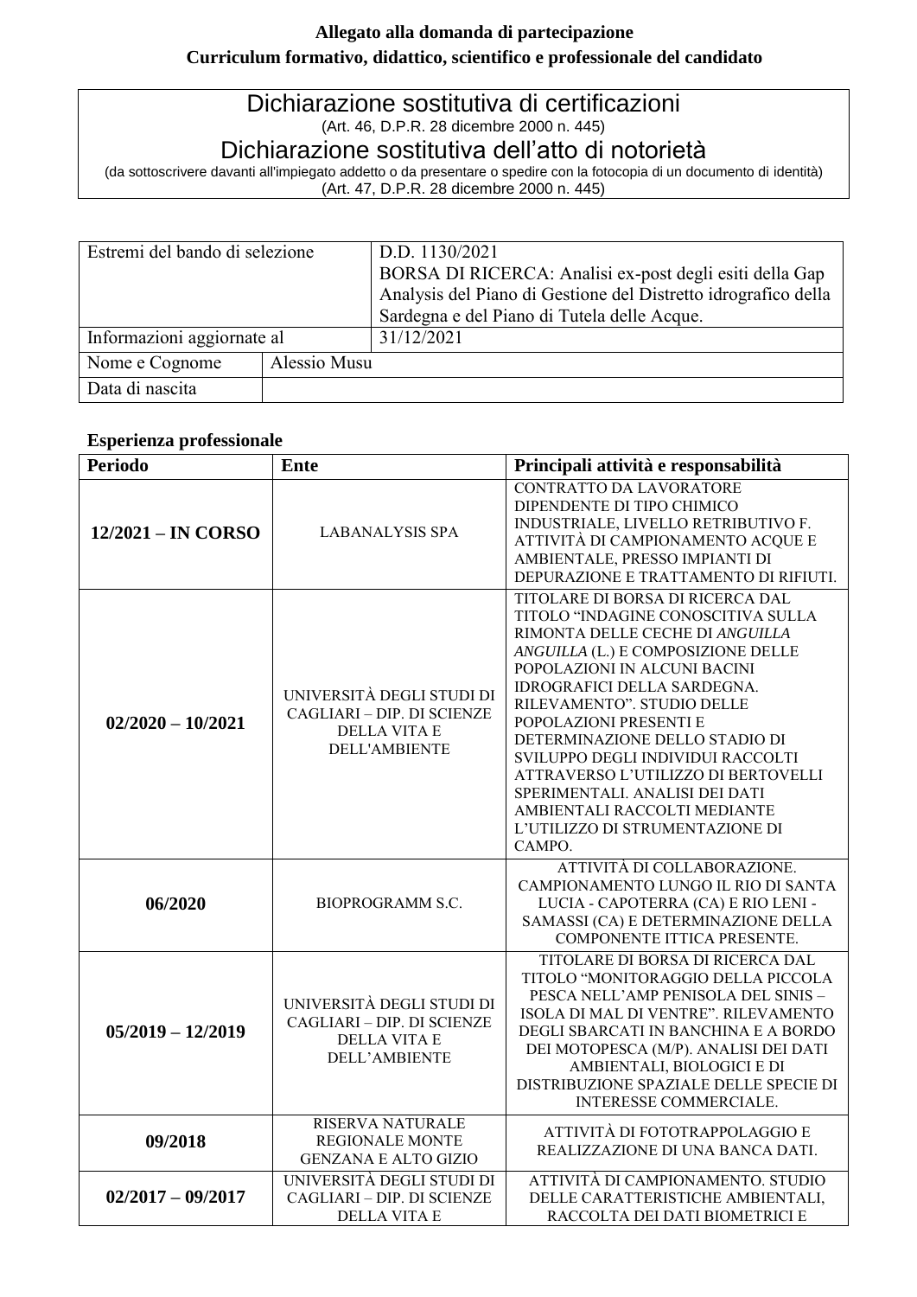## **Allegato alla domanda di partecipazione Curriculum formativo, didattico, scientifico e professionale del candidato**

# Dichiarazione sostitutiva di certificazioni (Art. 46, D.P.R. 28 dicembre 2000 n. 445)

# Dichiarazione sostitutiva dell'atto di notorietà

(da sottoscrivere davanti all'impiegato addetto o da presentare o spedire con la fotocopia di un documento di identità) (Art. 47, D.P.R. 28 dicembre 2000 n. 445)

| Estremi del bando di selezione |              | D.D. 1130/2021                                                 |  |  |  |
|--------------------------------|--------------|----------------------------------------------------------------|--|--|--|
|                                |              | BORSA DI RICERCA: Analisi ex-post degli esiti della Gap        |  |  |  |
|                                |              | Analysis del Piano di Gestione del Distretto idrografico della |  |  |  |
|                                |              | Sardegna e del Piano di Tutela delle Acque.                    |  |  |  |
| Informazioni aggiornate al     |              | 31/12/2021                                                     |  |  |  |
| Nome e Cognome                 | Alessio Musu |                                                                |  |  |  |
| Data di nascita                |              |                                                                |  |  |  |

## **Esperienza professionale**

| <b>Periodo</b>       | <b>Ente</b>                                                                                            | Principali attività e responsabilità                                                                                                                                                                                                                                                                                                                                                                                                                                                                       |
|----------------------|--------------------------------------------------------------------------------------------------------|------------------------------------------------------------------------------------------------------------------------------------------------------------------------------------------------------------------------------------------------------------------------------------------------------------------------------------------------------------------------------------------------------------------------------------------------------------------------------------------------------------|
| $12/2021 - IN CORSO$ | <b>LABANALYSIS SPA</b>                                                                                 | <b>CONTRATTO DA LAVORATORE</b><br>DIPENDENTE DI TIPO CHIMICO<br>INDUSTRIALE, LIVELLO RETRIBUTIVO F.<br>ATTIVITÀ DI CAMPIONAMENTO ACQUE E<br>AMBIENTALE, PRESSO IMPIANTI DI<br>DEPURAZIONE E TRATTAMENTO DI RIFIUTI.                                                                                                                                                                                                                                                                                        |
| $02/2020 - 10/2021$  | UNIVERSITÀ DEGLI STUDI DI<br>CAGLIARI - DIP. DI SCIENZE<br><b>DELLA VITA E</b><br><b>DELL'AMBIENTE</b> | TITOLARE DI BORSA DI RICERCA DAL<br>TITOLO "INDAGINE CONOSCITIVA SULLA<br>RIMONTA DELLE CECHE DI ANGUILLA<br>ANGUILLA (L.) E COMPOSIZIONE DELLE<br>POPOLAZIONI IN ALCUNI BACINI<br><b>IDROGRAFICI DELLA SARDEGNA.</b><br>RILEVAMENTO". STUDIO DELLE<br>POPOLAZIONI PRESENTI E<br>DETERMINAZIONE DELLO STADIO DI<br>SVILUPPO DEGLI INDIVIDUI RACCOLTI<br>ATTRAVERSO L'UTILIZZO DI BERTOVELLI<br>SPERIMENTALI. ANALISI DEI DATI<br>AMBIENTALI RACCOLTI MEDIANTE<br>L'UTILIZZO DI STRUMENTAZIONE DI<br>CAMPO. |
| 06/2020              | <b>BIOPROGRAMM S.C.</b>                                                                                | ATTIVITÀ DI COLLABORAZIONE.<br>CAMPIONAMENTO LUNGO IL RIO DI SANTA<br>LUCIA - CAPOTERRA (CA) E RIO LENI -<br>SAMASSI (CA) E DETERMINAZIONE DELLA<br>COMPONENTE ITTICA PRESENTE.                                                                                                                                                                                                                                                                                                                            |
| $05/2019 - 12/2019$  | UNIVERSITÀ DEGLI STUDI DI<br>CAGLIARI - DIP. DI SCIENZE<br><b>DELLA VITA E</b><br><b>DELL'AMBIENTE</b> | TITOLARE DI BORSA DI RICERCA DAL<br>TITOLO "MONITORAGGIO DELLA PICCOLA<br>PESCA NELL'AMP PENISOLA DEL SINIS -<br>ISOLA DI MAL DI VENTRE". RILEVAMENTO<br>DEGLI SBARCATI IN BANCHINA E A BORDO<br>DEI MOTOPESCA (M/P). ANALISI DEI DATI<br>AMBIENTALI, BIOLOGICI E DI<br>DISTRIBUZIONE SPAZIALE DELLE SPECIE DI<br>INTERESSE COMMERCIALE.                                                                                                                                                                   |
| 09/2018              | RISERVA NATURALE<br><b>REGIONALE MONTE</b><br><b>GENZANA E ALTO GIZIO</b>                              | ATTIVITÀ DI FOTOTRAPPOLAGGIO E<br>REALIZZAZIONE DI UNA BANCA DATI.                                                                                                                                                                                                                                                                                                                                                                                                                                         |
| $02/2017 - 09/2017$  | UNIVERSITÀ DEGLI STUDI DI<br>CAGLIARI - DIP. DI SCIENZE<br><b>DELLA VITA E</b>                         | ATTIVITÀ DI CAMPIONAMENTO. STUDIO<br>DELLE CARATTERISTICHE AMBIENTALI,<br>RACCOLTA DEI DATI BIOMETRICI E                                                                                                                                                                                                                                                                                                                                                                                                   |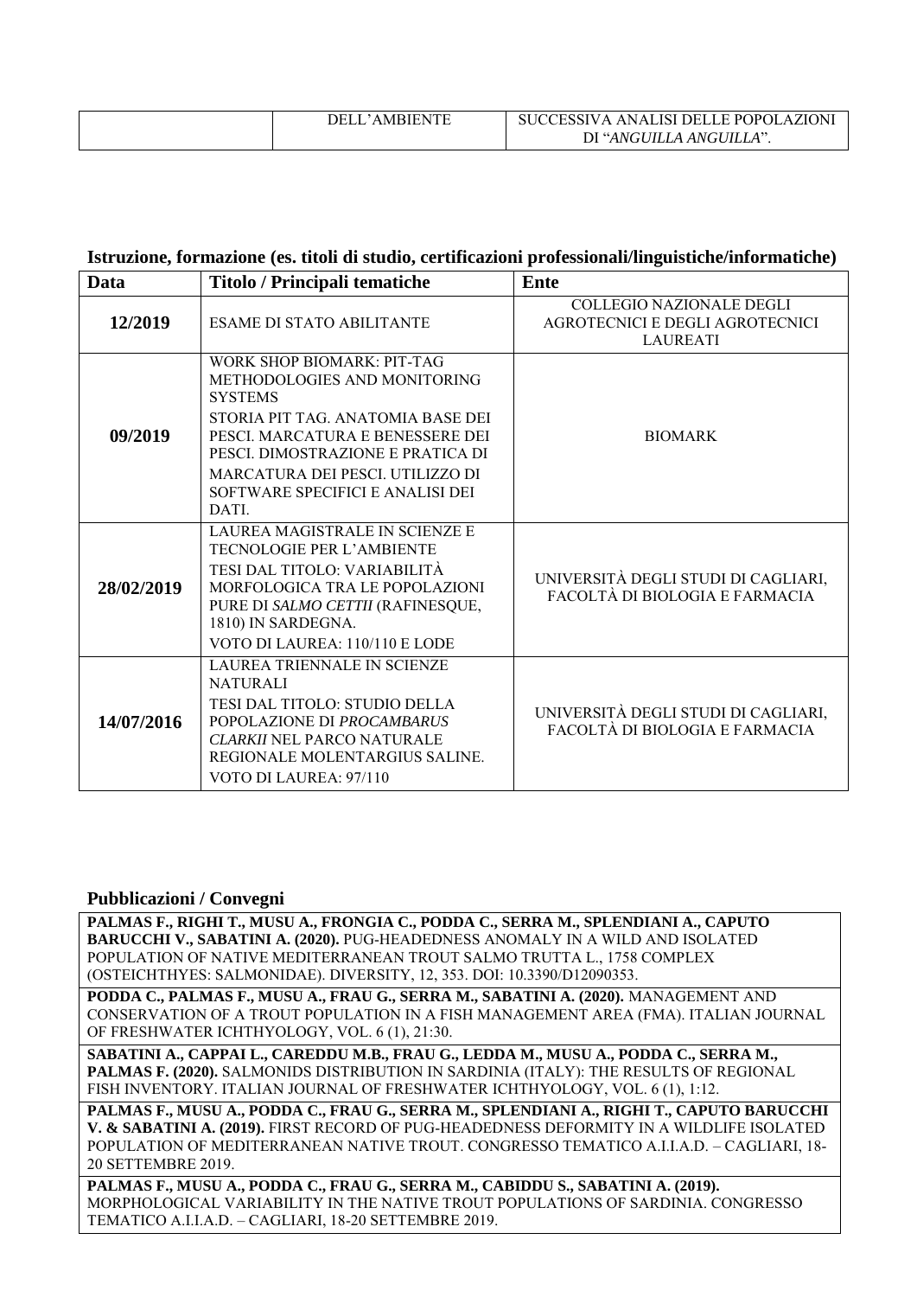| ITF<br>DEL<br>– ∕AMRIEN ∟. | AZION'<br>$\cdot$ ANALISI DELLE POPOLA.<br>TESSIV A |
|----------------------------|-----------------------------------------------------|
|                            | DI "ANGUILLA ANGUILLA".                             |

### **Istruzione, formazione (es. titoli di studio, certificazioni professionali/linguistiche/informatiche)**

| <b>Data</b> | Titolo / Principali tematiche                                                                                                                                                                                                                                               | <b>Ente</b>                                                                           |
|-------------|-----------------------------------------------------------------------------------------------------------------------------------------------------------------------------------------------------------------------------------------------------------------------------|---------------------------------------------------------------------------------------|
| 12/2019     | <b>ESAME DI STATO ABILITANTE</b>                                                                                                                                                                                                                                            | <b>COLLEGIO NAZIONALE DEGLI</b><br>AGROTECNICI E DEGLI AGROTECNICI<br><b>LAUREATI</b> |
| 09/2019     | WORK SHOP BIOMARK: PIT-TAG<br>METHODOLOGIES AND MONITORING<br><b>SYSTEMS</b><br>STORIA PIT TAG. ANATOMIA BASE DEI<br>PESCI. MARCATURA E BENESSERE DEI<br>PESCI. DIMOSTRAZIONE E PRATICA DI<br>MARCATURA DEI PESCI. UTILIZZO DI<br>SOFTWARE SPECIFICI E ANALISI DEI<br>DATI. | <b>BIOMARK</b>                                                                        |
| 28/02/2019  | LAUREA MAGISTRALE IN SCIENZE E<br><b>TECNOLOGIE PER L'AMBIENTE</b><br>TESI DAL TITOLO: VARIABILITÀ<br>MORFOLOGICA TRA LE POPOLAZIONI<br>PURE DI SALMO CETTII (RAFINESQUE,<br>1810) IN SARDEGNA.<br>VOTO DI LAUREA: 110/110 E LODE                                           | UNIVERSITÀ DEGLI STUDI DI CAGLIARI,<br>FACOLTÀ DI BIOLOGIA E FARMACIA                 |
| 14/07/2016  | LAUREA TRIENNALE IN SCIENZE<br><b>NATURALI</b><br>TESI DAL TITOLO: STUDIO DELLA<br>POPOLAZIONE DI PROCAMBARUS<br>CLARKII NEL PARCO NATURALE<br>REGIONALE MOLENTARGIUS SALINE.<br>VOTO DI LAUREA: 97/110                                                                     | UNIVERSITÀ DEGLI STUDI DI CAGLIARI,<br>FACOLTÀ DI BIOLOGIA E FARMACIA                 |

#### **Pubblicazioni / Convegni**

**PALMAS F., RIGHI T., MUSU A., FRONGIA C., PODDA C., SERRA M., SPLENDIANI A., CAPUTO BARUCCHI V., SABATINI A. (2020).** PUG-HEADEDNESS ANOMALY IN A WILD AND ISOLATED POPULATION OF NATIVE MEDITERRANEAN TROUT SALMO TRUTTA L., 1758 COMPLEX (OSTEICHTHYES: SALMONIDAE). DIVERSITY, 12, 353. DOI: 10.3390/D12090353.

**PODDA C., PALMAS F., MUSU A., FRAU G., SERRA M., SABATINI A. (2020).** MANAGEMENT AND CONSERVATION OF A TROUT POPULATION IN A FISH MANAGEMENT AREA (FMA). ITALIAN JOURNAL OF FRESHWATER ICHTHYOLOGY, VOL. 6 (1), 21:30.

**SABATINI A., CAPPAI L., CAREDDU M.B., FRAU G., LEDDA M., MUSU A., PODDA C., SERRA M., PALMAS F. (2020).** SALMONIDS DISTRIBUTION IN SARDINIA (ITALY): THE RESULTS OF REGIONAL FISH INVENTORY. ITALIAN JOURNAL OF FRESHWATER ICHTHYOLOGY, VOL. 6 (1), 1:12.

**PALMAS F., MUSU A., PODDA C., FRAU G., SERRA M., SPLENDIANI A., RIGHI T., CAPUTO BARUCCHI V. & SABATINI A. (2019).** FIRST RECORD OF PUG-HEADEDNESS DEFORMITY IN A WILDLIFE ISOLATED POPULATION OF MEDITERRANEAN NATIVE TROUT. CONGRESSO TEMATICO A.I.I.A.D. – CAGLIARI, 18- 20 SETTEMBRE 2019.

**PALMAS F., MUSU A., PODDA C., FRAU G., SERRA M., CABIDDU S., SABATINI A. (2019).** MORPHOLOGICAL VARIABILITY IN THE NATIVE TROUT POPULATIONS OF SARDINIA. CONGRESSO TEMATICO A.I.I.A.D. – CAGLIARI, 18-20 SETTEMBRE 2019.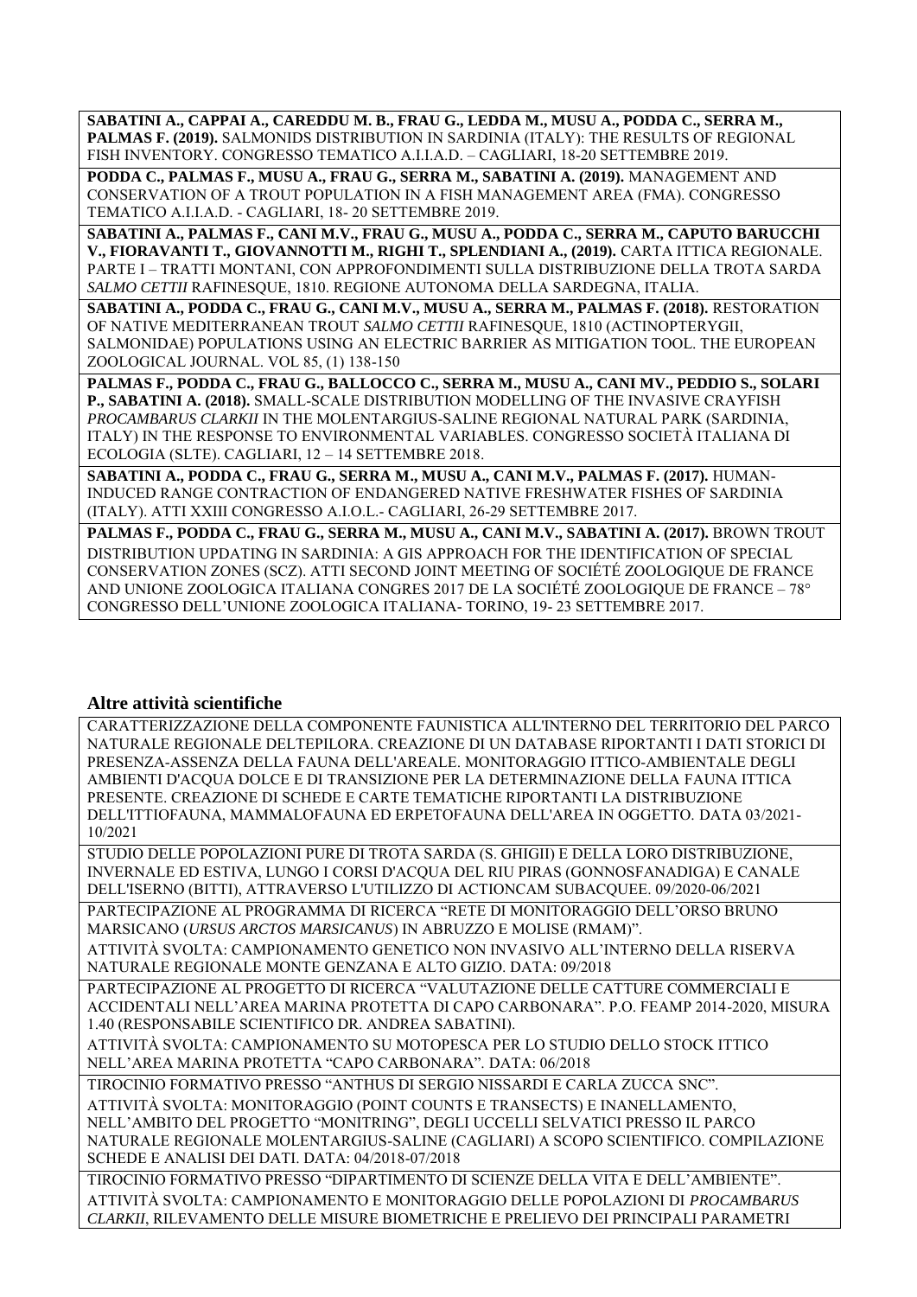**SABATINI A., CAPPAI A., CAREDDU M. B., FRAU G., LEDDA M., MUSU A., PODDA C., SERRA M., PALMAS F. (2019).** SALMONIDS DISTRIBUTION IN SARDINIA (ITALY): THE RESULTS OF REGIONAL FISH INVENTORY. CONGRESSO TEMATICO A.I.I.A.D. – CAGLIARI, 18-20 SETTEMBRE 2019.

**PODDA C., PALMAS F., MUSU A., FRAU G., SERRA M., SABATINI A. (2019).** MANAGEMENT AND CONSERVATION OF A TROUT POPULATION IN A FISH MANAGEMENT AREA (FMA). CONGRESSO TEMATICO A.I.I.A.D. - CAGLIARI, 18- 20 SETTEMBRE 2019.

**SABATINI A., PALMAS F., CANI M.V., FRAU G., MUSU A., PODDA C., SERRA M., CAPUTO BARUCCHI V., FIORAVANTI T., GIOVANNOTTI M., RIGHI T., SPLENDIANI A., (2019).** CARTA ITTICA REGIONALE. PARTE I – TRATTI MONTANI, CON APPROFONDIMENTI SULLA DISTRIBUZIONE DELLA TROTA SARDA *SALMO CETTII* RAFINESQUE, 1810. REGIONE AUTONOMA DELLA SARDEGNA, ITALIA.

**SABATINI A., PODDA C., FRAU G., CANI M.V., MUSU A., SERRA M., PALMAS F. (2018).** RESTORATION OF NATIVE MEDITERRANEAN TROUT *SALMO CETTII* RAFINESQUE, 1810 (ACTINOPTERYGII, SALMONIDAE) POPULATIONS USING AN ELECTRIC BARRIER AS MITIGATION TOOL. THE EUROPEAN ZOOLOGICAL JOURNAL. VOL 85, (1) 138-150

**PALMAS F., PODDA C., FRAU G., BALLOCCO C., SERRA M., MUSU A., CANI MV., PEDDIO S., SOLARI P., SABATINI A. (2018).** SMALL-SCALE DISTRIBUTION MODELLING OF THE INVASIVE CRAYFISH *PROCAMBARUS CLARKII* IN THE MOLENTARGIUS-SALINE REGIONAL NATURAL PARK (SARDINIA, ITALY) IN THE RESPONSE TO ENVIRONMENTAL VARIABLES. CONGRESSO SOCIETÀ ITALIANA DI ECOLOGIA (SLTE). CAGLIARI, 12 – 14 SETTEMBRE 2018.

**SABATINI A., PODDA C., FRAU G., SERRA M., MUSU A., CANI M.V., PALMAS F. (2017).** HUMAN-INDUCED RANGE CONTRACTION OF ENDANGERED NATIVE FRESHWATER FISHES OF SARDINIA (ITALY). ATTI XXIII CONGRESSO A.I.O.L.- CAGLIARI, 26-29 SETTEMBRE 2017.

**PALMAS F., PODDA C., FRAU G., SERRA M., MUSU A., CANI M.V., SABATINI A. (2017).** BROWN TROUT DISTRIBUTION UPDATING IN SARDINIA: A GIS APPROACH FOR THE IDENTIFICATION OF SPECIAL CONSERVATION ZONES (SCZ). ATTI SECOND JOINT MEETING OF SOCIÉTÉ ZOOLOGIQUE DE FRANCE AND UNIONE ZOOLOGICA ITALIANA CONGRES 2017 DE LA SOCIÉTÉ ZOOLOGIQUE DE FRANCE – 78° CONGRESSO DELL'UNIONE ZOOLOGICA ITALIANA- TORINO, 19- 23 SETTEMBRE 2017.

## **Altre attività scientifiche**

CARATTERIZZAZIONE DELLA COMPONENTE FAUNISTICA ALL'INTERNO DEL TERRITORIO DEL PARCO NATURALE REGIONALE DELTEPILORA. CREAZIONE DI UN DATABASE RIPORTANTI I DATI STORICI DI PRESENZA-ASSENZA DELLA FAUNA DELL'AREALE. MONITORAGGIO ITTICO-AMBIENTALE DEGLI AMBIENTI D'ACQUA DOLCE E DI TRANSIZIONE PER LA DETERMINAZIONE DELLA FAUNA ITTICA PRESENTE. CREAZIONE DI SCHEDE E CARTE TEMATICHE RIPORTANTI LA DISTRIBUZIONE DELL'ITTIOFAUNA, MAMMALOFAUNA ED ERPETOFAUNA DELL'AREA IN OGGETTO. DATA 03/2021- 10/2021

STUDIO DELLE POPOLAZIONI PURE DI TROTA SARDA (S. GHIGII) E DELLA LORO DISTRIBUZIONE, INVERNALE ED ESTIVA, LUNGO I CORSI D'ACQUA DEL RIU PIRAS (GONNOSFANADIGA) E CANALE DELL'ISERNO (BITTI), ATTRAVERSO L'UTILIZZO DI ACTIONCAM SUBACQUEE. 09/2020-06/2021

PARTECIPAZIONE AL PROGRAMMA DI RICERCA "RETE DI MONITORAGGIO DELL'ORSO BRUNO MARSICANO (*URSUS ARCTOS MARSICANUS*) IN ABRUZZO E MOLISE (RMAM)".

ATTIVITÀ SVOLTA: CAMPIONAMENTO GENETICO NON INVASIVO ALL'INTERNO DELLA RISERVA NATURALE REGIONALE MONTE GENZANA E ALTO GIZIO. DATA: 09/2018

PARTECIPAZIONE AL PROGETTO DI RICERCA "VALUTAZIONE DELLE CATTURE COMMERCIALI E ACCIDENTALI NELL'AREA MARINA PROTETTA DI CAPO CARBONARA". P.O. FEAMP 2014-2020, MISURA 1.40 (RESPONSABILE SCIENTIFICO DR. ANDREA SABATINI).

ATTIVITÀ SVOLTA: CAMPIONAMENTO SU MOTOPESCA PER LO STUDIO DELLO STOCK ITTICO NELL'AREA MARINA PROTETTA "CAPO CARBONARA". DATA: 06/2018

TIROCINIO FORMATIVO PRESSO "ANTHUS DI SERGIO NISSARDI E CARLA ZUCCA SNC".

ATTIVITÀ SVOLTA: MONITORAGGIO (POINT COUNTS E TRANSECTS) E INANELLAMENTO, NELL'AMBITO DEL PROGETTO "MONITRING", DEGLI UCCELLI SELVATICI PRESSO IL PARCO NATURALE REGIONALE MOLENTARGIUS-SALINE (CAGLIARI) A SCOPO SCIENTIFICO. COMPILAZIONE SCHEDE E ANALISI DEI DATI. DATA: 04/2018-07/2018

TIROCINIO FORMATIVO PRESSO "DIPARTIMENTO DI SCIENZE DELLA VITA E DELL'AMBIENTE". ATTIVITÀ SVOLTA: CAMPIONAMENTO E MONITORAGGIO DELLE POPOLAZIONI DI *PROCAMBARUS CLARKII*, RILEVAMENTO DELLE MISURE BIOMETRICHE E PRELIEVO DEI PRINCIPALI PARAMETRI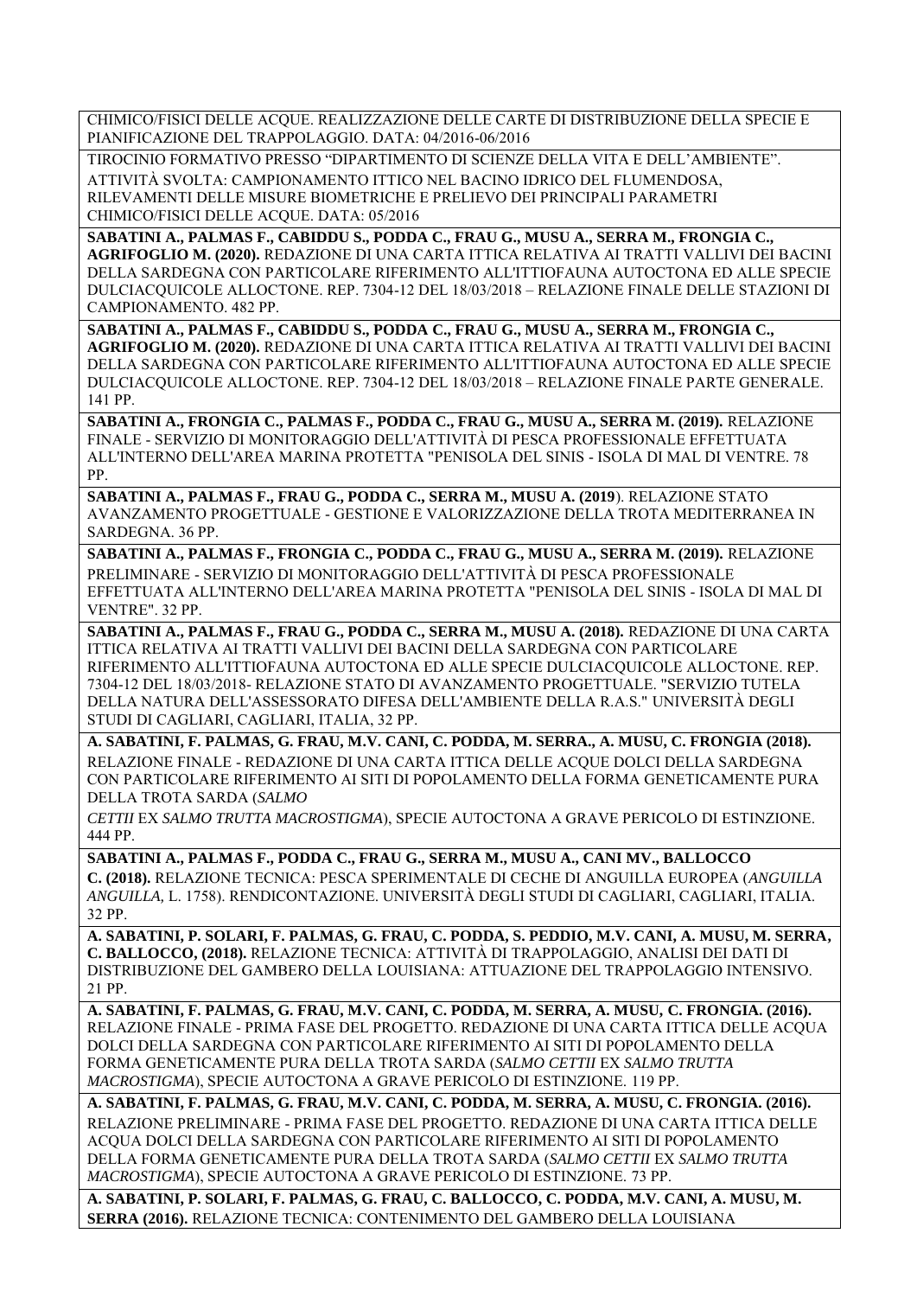CHIMICO/FISICI DELLE ACQUE. REALIZZAZIONE DELLE CARTE DI DISTRIBUZIONE DELLA SPECIE E PIANIFICAZIONE DEL TRAPPOLAGGIO. DATA: 04/2016-06/2016

TIROCINIO FORMATIVO PRESSO "DIPARTIMENTO DI SCIENZE DELLA VITA E DELL'AMBIENTE". ATTIVITÀ SVOLTA: CAMPIONAMENTO ITTICO NEL BACINO IDRICO DEL FLUMENDOSA, RILEVAMENTI DELLE MISURE BIOMETRICHE E PRELIEVO DEI PRINCIPALI PARAMETRI CHIMICO/FISICI DELLE ACQUE. DATA: 05/2016

**SABATINI A., PALMAS F., CABIDDU S., PODDA C., FRAU G., MUSU A., SERRA M., FRONGIA C., AGRIFOGLIO M. (2020).** REDAZIONE DI UNA CARTA ITTICA RELATIVA AI TRATTI VALLIVI DEI BACINI DELLA SARDEGNA CON PARTICOLARE RIFERIMENTO ALL'ITTIOFAUNA AUTOCTONA ED ALLE SPECIE DULCIACQUICOLE ALLOCTONE. REP. 7304-12 DEL 18/03/2018 – RELAZIONE FINALE DELLE STAZIONI DI CAMPIONAMENTO. 482 PP.

**SABATINI A., PALMAS F., CABIDDU S., PODDA C., FRAU G., MUSU A., SERRA M., FRONGIA C., AGRIFOGLIO M. (2020).** REDAZIONE DI UNA CARTA ITTICA RELATIVA AI TRATTI VALLIVI DEI BACINI DELLA SARDEGNA CON PARTICOLARE RIFERIMENTO ALL'ITTIOFAUNA AUTOCTONA ED ALLE SPECIE DULCIACQUICOLE ALLOCTONE. REP. 7304-12 DEL 18/03/2018 – RELAZIONE FINALE PARTE GENERALE. 141 PP.

**SABATINI A., FRONGIA C., PALMAS F., PODDA C., FRAU G., MUSU A., SERRA M. (2019).** RELAZIONE FINALE - SERVIZIO DI MONITORAGGIO DELL'ATTIVITÀ DI PESCA PROFESSIONALE EFFETTUATA ALL'INTERNO DELL'AREA MARINA PROTETTA "PENISOLA DEL SINIS - ISOLA DI MAL DI VENTRE. 78 PP.

**SABATINI A., PALMAS F., FRAU G., PODDA C., SERRA M., MUSU A. (2019**). RELAZIONE STATO AVANZAMENTO PROGETTUALE - GESTIONE E VALORIZZAZIONE DELLA TROTA MEDITERRANEA IN SARDEGNA. 36 PP.

**SABATINI A., PALMAS F., FRONGIA C., PODDA C., FRAU G., MUSU A., SERRA M. (2019).** RELAZIONE PRELIMINARE - SERVIZIO DI MONITORAGGIO DELL'ATTIVITÀ DI PESCA PROFESSIONALE EFFETTUATA ALL'INTERNO DELL'AREA MARINA PROTETTA "PENISOLA DEL SINIS - ISOLA DI MAL DI VENTRE". 32 PP.

**SABATINI A., PALMAS F., FRAU G., PODDA C., SERRA M., MUSU A. (2018).** REDAZIONE DI UNA CARTA ITTICA RELATIVA AI TRATTI VALLIVI DEI BACINI DELLA SARDEGNA CON PARTICOLARE RIFERIMENTO ALL'ITTIOFAUNA AUTOCTONA ED ALLE SPECIE DULCIACQUICOLE ALLOCTONE. REP. 7304-12 DEL 18/03/2018- RELAZIONE STATO DI AVANZAMENTO PROGETTUALE. "SERVIZIO TUTELA DELLA NATURA DELL'ASSESSORATO DIFESA DELL'AMBIENTE DELLA R.A.S." UNIVERSITÀ DEGLI STUDI DI CAGLIARI, CAGLIARI, ITALIA, 32 PP.

**A. SABATINI, F. PALMAS, G. FRAU, M.V. CANI, C. PODDA, M. SERRA., A. MUSU, C. FRONGIA (2018).** RELAZIONE FINALE - REDAZIONE DI UNA CARTA ITTICA DELLE ACQUE DOLCI DELLA SARDEGNA CON PARTICOLARE RIFERIMENTO AI SITI DI POPOLAMENTO DELLA FORMA GENETICAMENTE PURA DELLA TROTA SARDA (*SALMO*

*CETTII* EX *SALMO TRUTTA MACROSTIGMA*), SPECIE AUTOCTONA A GRAVE PERICOLO DI ESTINZIONE. 444 PP.

**SABATINI A., PALMAS F., PODDA C., FRAU G., SERRA M., MUSU A., CANI MV., BALLOCCO**

**C. (2018).** RELAZIONE TECNICA: PESCA SPERIMENTALE DI CECHE DI ANGUILLA EUROPEA (*ANGUILLA ANGUILLA,* L. 1758). RENDICONTAZIONE. UNIVERSITÀ DEGLI STUDI DI CAGLIARI, CAGLIARI, ITALIA. 32 PP.

**A. SABATINI, P. SOLARI, F. PALMAS, G. FRAU, C. PODDA, S. PEDDIO, M.V. CANI, A. MUSU, M. SERRA, C. BALLOCCO, (2018).** RELAZIONE TECNICA: ATTIVITÀ DI TRAPPOLAGGIO, ANALISI DEI DATI DI DISTRIBUZIONE DEL GAMBERO DELLA LOUISIANA: ATTUAZIONE DEL TRAPPOLAGGIO INTENSIVO. 21 PP.

**A. SABATINI, F. PALMAS, G. FRAU, M.V. CANI, C. PODDA, M. SERRA, A. MUSU, C. FRONGIA. (2016).** RELAZIONE FINALE - PRIMA FASE DEL PROGETTO. REDAZIONE DI UNA CARTA ITTICA DELLE ACQUA DOLCI DELLA SARDEGNA CON PARTICOLARE RIFERIMENTO AI SITI DI POPOLAMENTO DELLA FORMA GENETICAMENTE PURA DELLA TROTA SARDA (*SALMO CETTII* EX *SALMO TRUTTA MACROSTIGMA*), SPECIE AUTOCTONA A GRAVE PERICOLO DI ESTINZIONE. 119 PP.

**A. SABATINI, F. PALMAS, G. FRAU, M.V. CANI, C. PODDA, M. SERRA, A. MUSU, C. FRONGIA. (2016).** RELAZIONE PRELIMINARE - PRIMA FASE DEL PROGETTO. REDAZIONE DI UNA CARTA ITTICA DELLE ACQUA DOLCI DELLA SARDEGNA CON PARTICOLARE RIFERIMENTO AI SITI DI POPOLAMENTO DELLA FORMA GENETICAMENTE PURA DELLA TROTA SARDA (*SALMO CETTII* EX *SALMO TRUTTA MACROSTIGMA*), SPECIE AUTOCTONA A GRAVE PERICOLO DI ESTINZIONE. 73 PP.

**A. SABATINI, P. SOLARI, F. PALMAS, G. FRAU, C. BALLOCCO, C. PODDA, M.V. CANI, A. MUSU, M. SERRA (2016).** RELAZIONE TECNICA: CONTENIMENTO DEL GAMBERO DELLA LOUISIANA